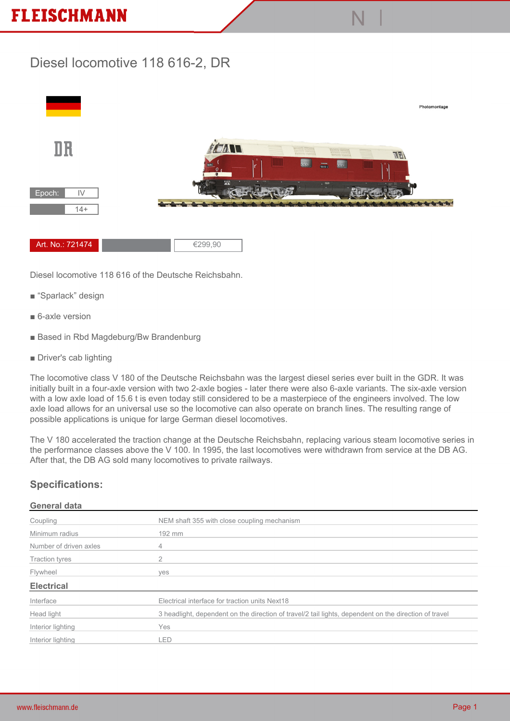## **FLEISCHMANN**

### **Diesel locomotive 118 616-2, DR**



**N |**

**Diesel locomotive 118 616 of the Deutsche Reichsbahn.**

- **"Sparlack" design**
- **6-axle version**
- **Based in Rbd Magdeburg/Bw Brandenburg**
- **Driver's cab lighting**

**The locomotive class V 180 of the Deutsche Reichsbahn was the largest diesel series ever built in the GDR. It was initially built in a four-axle version with two 2-axle bogies - later there were also 6-axle variants. The six-axle version with a low axle load of 15.6 t is even today still considered to be a masterpiece of the engineers involved. The low axle load allows for an universal use so the locomotive can also operate on branch lines. The resulting range of possible applications is unique for large German diesel locomotives.**

**The V 180 accelerated the traction change at the Deutsche Reichsbahn, replacing various steam locomotive series in the performance classes above the V 100. In 1995, the last locomotives were withdrawn from service at the DB AG. After that, the DB AG sold many locomotives to private railways.**

#### **Specifications:**

#### **General data**

| Coupling               | NEM shaft 355 with close coupling mechanism                                                           |
|------------------------|-------------------------------------------------------------------------------------------------------|
| Minimum radius         | 192 mm                                                                                                |
| Number of driven axles | 4                                                                                                     |
| <b>Traction tyres</b>  |                                                                                                       |
| Flywheel               | yes                                                                                                   |
| <b>Electrical</b>      |                                                                                                       |
| Interface              | Electrical interface for traction units Next18                                                        |
| Head light             | 3 headlight, dependent on the direction of travel/2 tail lights, dependent on the direction of travel |
| Interior lighting      | Yes                                                                                                   |
| Interior lighting      | .ED                                                                                                   |